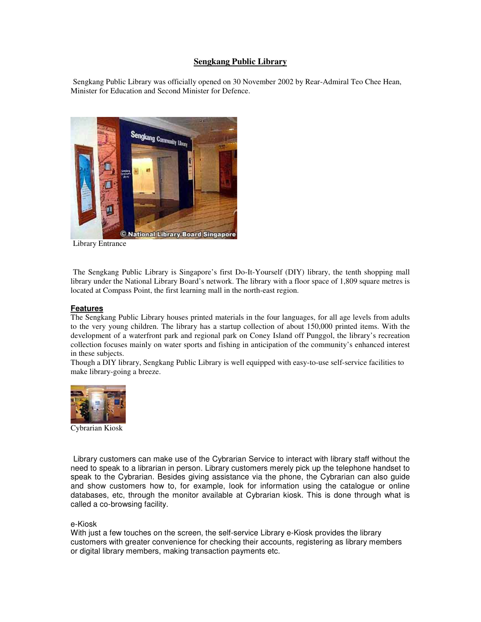## **Sengkang Public Library**

Sengkang Public Library was officially opened on 30 November 2002 by Rear-Admiral Teo Chee Hean, Minister for Education and Second Minister for Defence.



Library Entrance

The Sengkang Public Library is Singapore's first Do-It-Yourself (DIY) library, the tenth shopping mall library under the National Library Board's network. The library with a floor space of 1,809 square metres is located at Compass Point, the first learning mall in the north-east region.

## **Features**

The Sengkang Public Library houses printed materials in the four languages, for all age levels from adults to the very young children. The library has a startup collection of about 150,000 printed items. With the development of a waterfront park and regional park on Coney Island off Punggol, the library's recreation collection focuses mainly on water sports and fishing in anticipation of the community's enhanced interest in these subjects.

Though a DIY library, Sengkang Public Library is well equipped with easy-to-use self-service facilities to make library-going a breeze.



Cybrarian Kiosk

Library customers can make use of the Cybrarian Service to interact with library staff without the need to speak to a librarian in person. Library customers merely pick up the telephone handset to speak to the Cybrarian. Besides giving assistance via the phone, the Cybrarian can also guide and show customers how to, for example, look for information using the catalogue or online databases, etc, through the monitor available at Cybrarian kiosk. This is done through what is called a co-browsing facility.

## e-Kiosk

With just a few touches on the screen, the self-service Library e-Kiosk provides the library customers with greater convenience for checking their accounts, registering as library members or digital library members, making transaction payments etc.